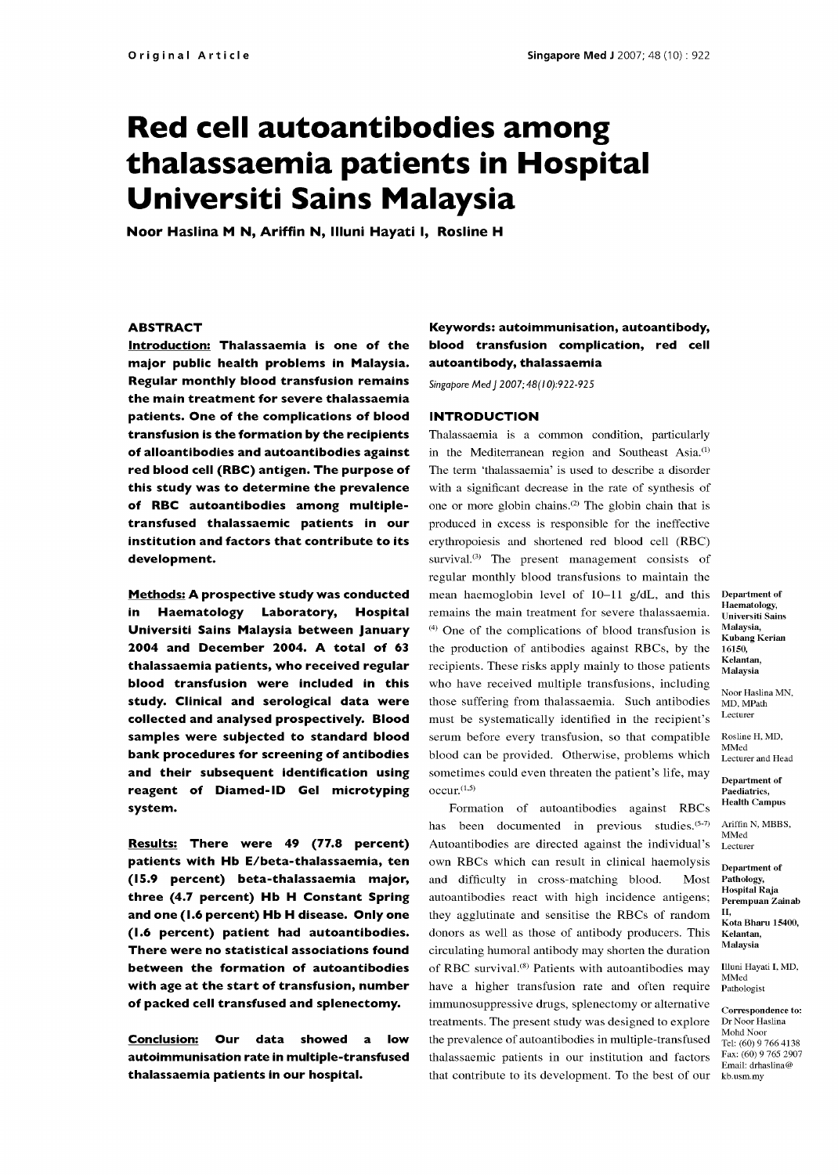# Red cell autoantibodies among thalassaemia patients in Hospital Universiti Sains Malaysia

Noor Haslina M N, Ariffin N, Illuni Hayati I, Rosline H

## **ABSTRACT**

Introduction: Thalassaemia is one of the major public health problems in Malaysia. Regular monthly blood transfusion remains the main treatment for severe thalassaemia patients. One of the complications of blood transfusion is the formation by the recipients of alloantibodies and autoantibodies against red blood cell (RBC) antigen. The purpose of this study was to determine the prevalence with a significant decrease in the rate of synthesis of of RBC autoantibodies among multiple transfused thalassaemic patients in our institution and factors that contribute to its development.

Methods: A prospective study was conducted in Haematology Laboratory, Hospital Universiti Sains Malaysia between January 2004 and December 2004. A total of 63 thalassaemia patients, who received regular blood transfusion were included in this study. Clinical and serological data were collected and analysed prospectively. Blood samples were subjected to standard blood bank procedures for screening of antibodies and their subsequent identification using reagent of Diamed-ID Gel microtyping system.

Results: There were 49 (77.8 percent) patients with Hb E/beta-thalassaemia, ten (15.9 percent) beta-thalassaemia major, three (4.7 percent) Hb H Constant Spring and one (1.6 percent) Hb H disease. Only one (1.6 percent) patient had autoantibodies. There were no statistical associations found between the formation of autoantibodies with age at the start of transfusion, number of packed cell transfused and splenectomy.

Conclusion: Our data showed a low autoimmunisation rate in multiple -transfused thalassaemia patients in our hospital.

## Keywords: autoimmunisation, autoantibody, blood transfusion complication, red cell autoantibody, thalassaemia

Singapore Med J 2007; 48(10):922-925

#### INTRODUCTION

Thalassaemia is a common condition, particularly in the Mediterranean region and Southeast Asia.<sup>(1)</sup> The term 'thalassaemia' is used to describe a disorder one or more globin chains.<sup>(2)</sup> The globin chain that is produced in excess is responsible for the ineffective erythropoiesis and shortened red blood cell (RBC) survival.<sup>3)</sup> The present management consists of regular monthly blood transfusions to maintain the mean haemoglobin level of 10-11 g/dL, and this remains the main treatment for severe thalassaemia.  $(4)$  One of the complications of blood transfusion is the production of antibodies against RBCs, by the recipients. These risks apply mainly to those patients who have received multiple transfusions, including those suffering from thalassaemia. Such antibodies must be systematically identified in the recipient's serum before every transfusion, so that compatible Rosline<br>helped can be gravided  $\bigcirc$ blood can be provided. Otherwise, problems which sometimes could even threaten the patient's life, may  $occur.<sup>(1,5)</sup>$ 

Formation of autoantibodies against RBCs has been documented in previous studies.  $(5-7)$ Autoantibodies are directed against the individual's own RBCs which can result in clinical haemolysis and difficulty in cross-matching blood. Most autoantibodies react with high incidence antigens; they agglutinate and sensitise the RBCs of random donors as well as those of antibody producers. This circulating humoral antibody may shorten the duration of RBC survival.<sup>(8)</sup> Patients with autoantibodies may have a higher transfusion rate and often require immunosuppressive drugs, splenectomy or alternative treatments. The present study was designed to explore Dr Noor Haslina the prevalence of autoantibodies in multiple -transfused thalassaemic patients in our institution and factors that contribute to its development. To the best of our

Department of Haematology, Universiti Sains Malaysia, Kubang Kerian 16150, Kelantan, Malaysia

Noor Haslina MN, MD, MPath Lecturer

Rosline H, MD, Lecturer and Head

Department of Paediatrics, Health Campus

Ariffin N, MBBS, MMed Lecturer

Department of Pathology, Hospital Raja Perempuan Zainab I I,

Kota Bharu 15400, Kelantan, Malaysia

Illuni Hayati I, MD, MMed Pathologist

Correspondence to: Mohd Noor Tel: (60) 9 766 4138 Fax: (60) 9 765 2907 Email: drhaslina@ kb.usm.my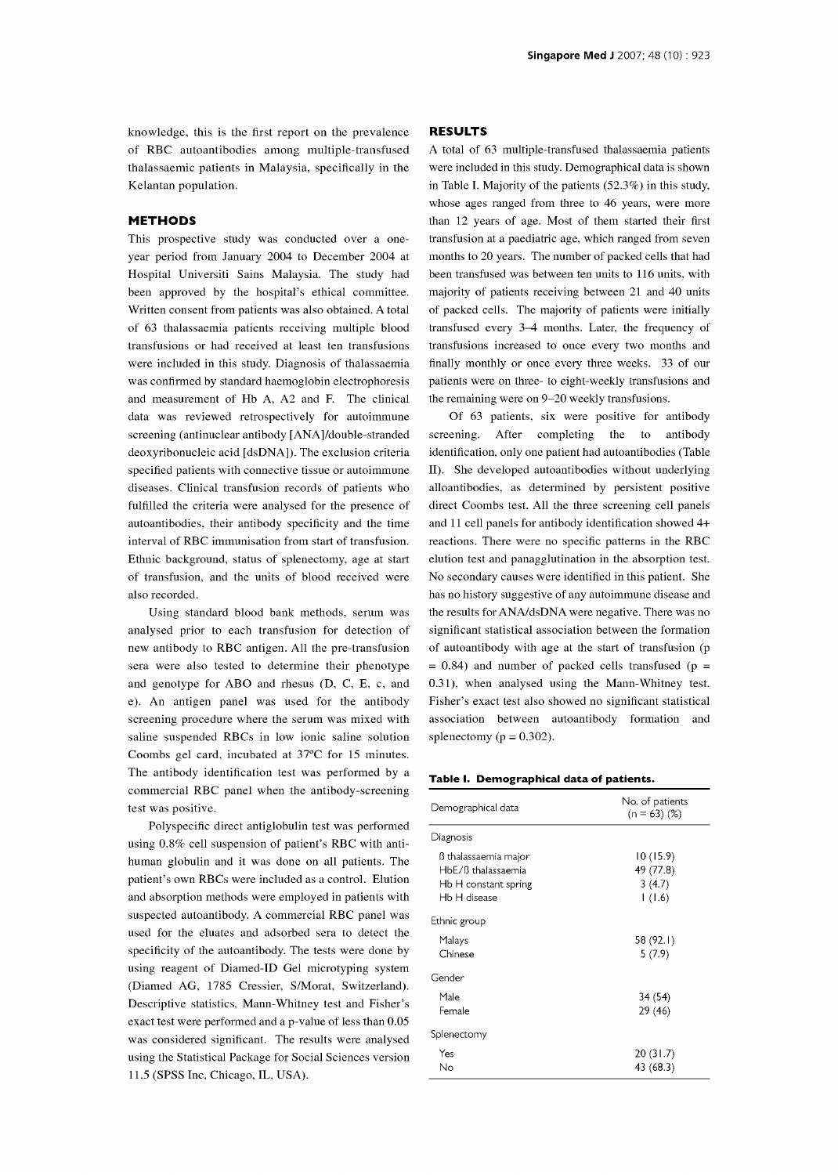knowledge, this is the first report on the prevalence of RBC autoantibodies among multiple-transfused A total of 63 multiple-transfused thalassaemia patients thalassaemic patients in Malaysia, specifically in the Kelantan population.

#### METHODS

This prospective study was conducted over a one year period from January 2004 to December 2004 at Hospital Universiti Sains Malaysia. The study had been approved by the hospital's ethical committee. Written consent from patients was also obtained. A total of 63 thalassaemia patients receiving multiple blood transfusions or had received at least ten transfusions were included in this study. Diagnosis of thalassaemia was confirmed by standard haemoglobin electrophoresis and measurement of Hb A, A2 and F. The clinical data was reviewed retrospectively for autoimmune screening (antinuclear antibody [ANA]/double-stranded deoxyribonucleic acid [dsDNA]). The exclusion criteria specified patients with connective tissue or autoimmune diseases. Clinical transfusion records of patients who fulfilled the criteria were analysed for the presence of autoantibodies, their antibody specificity and the time interval of RBC immunisation from start of transfusion. Ethnic background, status of splenectomy, age at start of transfusion, and the units of blood received were also recorded.

Using standard blood bank methods, serum was analysed prior to each transfusion for detection of new antibody to RBC antigen. All the pre -transfusion sera were also tested to determine their phenotype and genotype for ABO and rhesus (D, C, E, c, and e). An antigen panel was used for the antibody screening procedure where the serum was mixed with saline suspended RBCs in low ionic saline solution Coombs gel card, incubated at 37°C for 15 minutes. The antibody identification test was performed by a commercial RBC panel when the antibody -screening test was positive.

Polyspecific direct antiglobulin test was performed using 0.8% cell suspension of patient's RBC with antihuman globulin and it was done on all patients. The patient's own RBCs were included as a control. Elution and absorption methods were employed in patients with suspected autoantibody. A commercial RBC panel was used for the eluates and adsorbed sera to detect the specificity of the autoantibody. The tests were done by using reagent of Diamed-ID Gel microtyping system (Diamed AG, 1785 Cressier, S/Morat, Switzerland). Descriptive statistics, Mann -Whitney test and Fisher's exact test were performed and a p-value of less than 0.05 was considered significant. The results were analysed using the Statistical Package for Social Sciences version 11.5 (SPSS Inc, Chicago, IL, USA).

### RESULTS

were included in this study. Demographical data is shown in Table I. Majority of the patients (52.3%) in this study, whose ages ranged from three to 46 years, were more than 12 years of age. Most of them started their first transfusion at a paediatric age, which ranged from seven months to 20 years. The number of packed cells that had been transfused was between ten units to 116 units, with majority of patients receiving between 21 and 40 units of packed cells. The majority of patients were initially transfused every 3-4 months. Later, the frequency of transfusions increased to once every two months and finally monthly or once every three weeks. 33 of our patients were on three- to eight-weekly transfusions and the remaining were on 9-20 weekly transfusions.

Of 63 patients, six were positive for antibody screening. After completing the to antibody identification, only one patient had autoantibodies (Table II). She developed autoantibodies without underlying alloantibodies, as determined by persistent positive direct Coombs test. All the three screening cell panels and 11 cell panels for antibody identification showed 4+ reactions. There were no specific patterns in the RBC elution test and panagglutination in the absorption test. No secondary causes were identified in this patient. She has no history suggestive of any autoimmune disease and the results for ANA/dsDNA were negative. There was no significant statistical association between the formation of autoantibody with age at the start of transfusion (p  $= 0.84$ ) and number of packed cells transfused (p = 0.31), when analysed using the Mann-Whitney test. Fisher's exact test also showed no significant statistical association between autoantibody formation and splenectomy ( $p = 0.302$ ).

#### Table I. Demographical data of patients.

| Demographical data                                                                 | No. of patients<br>$(n = 63)$ (%)          |
|------------------------------------------------------------------------------------|--------------------------------------------|
| Diagnosis                                                                          |                                            |
| ß thalassaemia major<br>HbE/ß thalassaemia<br>Hb H constant spring<br>Hb H disease | 10 (15.9)<br>49 (77.8)<br>3(4.7)<br>1(1.6) |
| Ethnic group                                                                       |                                            |
| Malays<br>Chinese                                                                  | 58 (92.1)<br>5(7.9)                        |
| Gender                                                                             |                                            |
| Male<br>Female                                                                     | 34 (54)<br>29 (46)                         |
| Splenectomy                                                                        |                                            |
| Yes<br>Nο                                                                          | 20 (31.7)<br>43 (68.3)                     |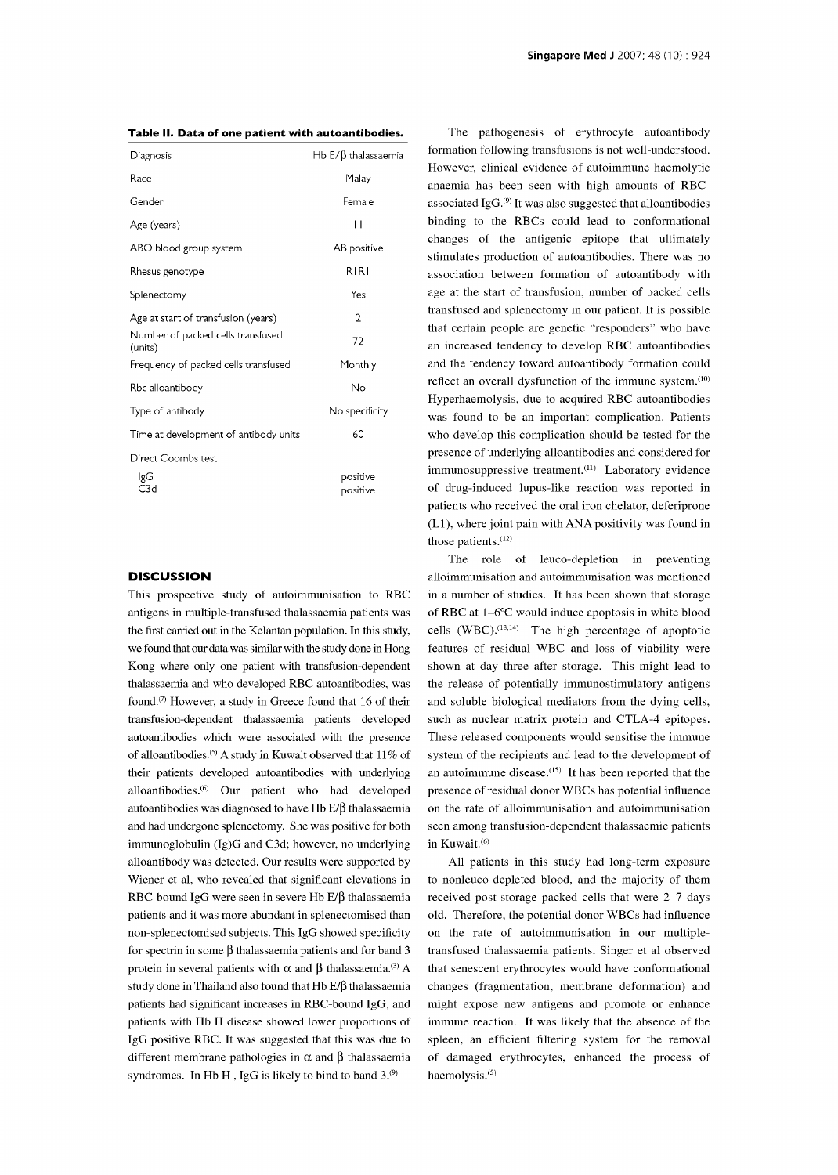|  | Table II. Data of one patient with autoantibodies. |  |
|--|----------------------------------------------------|--|
|--|----------------------------------------------------|--|

| Diagnosis                                    | Hb $E/\beta$ thalassaemia |
|----------------------------------------------|---------------------------|
| Race                                         | Malay                     |
| Gender                                       | Female                    |
| Age (years)                                  | П                         |
| ABO blood group system                       | AB positive               |
| Rhesus genotype                              | RIRI                      |
| Splenectomy                                  | Yes                       |
| Age at start of transfusion (years)          | $\overline{2}$            |
| Number of packed cells transfused<br>(units) | 72                        |
| Frequency of packed cells transfused         | Monthly                   |
| Rbc alloantibody                             | No                        |
| Type of antibody                             | No specificity            |
| Time at development of antibody units        | 60                        |
| Direct Coombs test                           |                           |
| lgG<br>C3d                                   | positive<br>positive      |

#### **DISCUSSION**

This prospective study of autoimmunisation to RBC antigens in multiple -transfused thalassaemia patients was the first carried out in the Kelantan population. In this study, we found that our data was similar with the study done in Hong features of residual WBC and loss of viability were Kong where only one patient with transfusion -dependent thalassaemia and who developed RBC autoantibodies, was found. $(7)$  However, a study in Greece found that 16 of their transfusion -dependent thalassaemia patients developed autoantibodies which were associated with the presence of alloantibodies.<sup>(5)</sup> A study in Kuwait observed that  $11\%$  of their patients developed autoantibodies with underlying alloantibodies.(6) Our patient who had developed autoantibodies was diagnosed to have  $Hb E/\beta$  thalassaemia and had undergone splenectomy. She was positive for both immunoglobulin (Ig)G and C3d; however, no underlying alloantibody was detected. Our results were supported by Wiener et al, who revealed that significant elevations in RBC-bound IgG were seen in severe Hb  $E/\beta$  thalassaemia patients and it was more abundant in splenectomised than non-splenectomised subjects. This IgG showed specificity for spectrin in some  $\beta$  thalassaemia patients and for band 3 protein in several patients with  $\alpha$  and  $\beta$  thalassaemia.<sup>(3)</sup> A study done in Thailand also found that  $Hb E/\beta$  thalassaemia patients had significant increases in RBC-bound IgG, and patients with Hb H disease showed lower proportions of IgG positive RBC. It was suggested that this was due to different membrane pathologies in  $\alpha$  and  $\beta$  thalassaemia syndromes. In Hb H, IgG is likely to bind to band  $3^{(9)}$ .

The pathogenesis of erythrocyte autoantibody formation following transfusions is not well -understood. However, clinical evidence of autoimmune haemolytic anaemia has been seen with high amounts of RBCassociated IgG.(9) It was also suggested that alloantibodies binding to the RBCs could lead to conformational changes of the antigenic epitope that ultimately stimulates production of autoantibodies. There was no association between formation of autoantibody with age at the start of transfusion, number of packed cells transfused and splenectomy in our patient. It is possible that certain people are genetic "responders" who have an increased tendency to develop RBC autoantibodies and the tendency toward autoantibody formation could reflect an overall dysfunction of the immune system.<sup>(10)</sup> Hyperhaemolysis, due to acquired RBC autoantibodies was found to be an important complication. Patients who develop this complication should be tested for the presence of underlying alloantibodies and considered for immunosuppressive treatment.<sup>(11)</sup> Laboratory evidence of drug-induced lupus-like reaction was reported in patients who received the oral iron chelator, deferiprone (L1), where joint pain with ANA positivity was found in those patients. $(12)$ 

The role of leuco-depletion in preventing alloimmunisation and autoimmunisation was mentioned in a number of studies. It has been shown that storage of RBC at 1-6°C would induce apoptosis in white blood cells  $(WBC)$ .<sup>(13,14)</sup> The high percentage of apoptotic shown at day three after storage. This might lead to the release of potentially immunostimulatory antigens and soluble biological mediators from the dying cells, such as nuclear matrix protein and CTLA-4 epitopes. These released components would sensitise the immune system of the recipients and lead to the development of an autoimmune disease.(15) It has been reported that the presence of residual donor WBCs has potential influence on the rate of alloimmunisation and autoimmunisation seen among transfusion -dependent thalassaemic patients in Kuwait.<sup>(6)</sup>

All patients in this study had long-term exposure to nonleuco-depleted blood, and the majority of them received post-storage packed cells that were 2-7 days old. Therefore, the potential donor WBCs had influence on the rate of autoimmunisation in our multipletransfused thalassaemia patients. Singer et al observed that senescent erythrocytes would have conformational changes (fragmentation, membrane deformation) and might expose new antigens and promote or enhance immune reaction. It was likely that the absence of the spleen, an efficient filtering system for the removal of damaged erythrocytes, enhanced the process of haemolysis.<sup>(5)</sup>